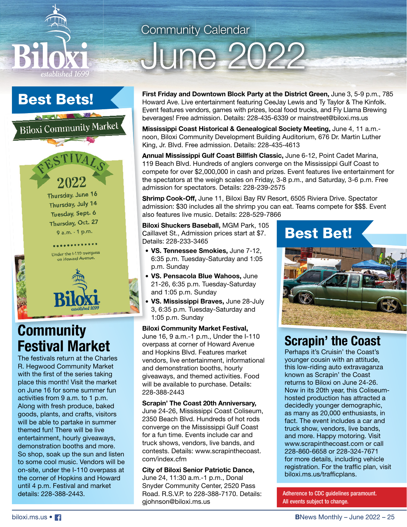

## Best Bets!

Biloxi Community Market



Under the I-110 overpass on Howard Avenu



## **Community Festival Market**

The festivals return at the Charles R. Hegwood Community Market with the first of the series taking place this month! Visit the market on June 16 for some summer fun activities from 9 a.m. to 1 p.m. Along with fresh produce, baked goods, plants, and crafts, visitors will be able to partake in summer themed fun! There will be live entertainment, hourly giveaways, demonstration booths and more. So shop, soak up the sun and listen to some cool music. Vendors will be on-site, under the I-110 overpass at the corner of Hopkins and Howard until 4 p.m. Festival and market details: 228-388-2443.

## Community Calendar

# June 2022

**First Friday and Downtown Block Party at the District Green,** June 3, 5-9 p.m., 785 Howard Ave. Live entertainment featuring CeeJay Lewis and Ty Taylor & The Kinfolk. Event features vendors, games with prizes, local food trucks, and Fly Llama Brewing beverages! Free admission. Details: 228-435-6339 or mainstreet@biloxi.ms.us

**Mississippi Coast Historical & Genealogical Society Meeting,** June 4, 11 a.m. noon, Biloxi Community Development Building Auditorium, 676 Dr. Martin Luther King, Jr. Blvd. Free admission. Details: 228-435-4613

Annual Mississippi Gulf Coast Billfish Classic, June 6-12, Point Cadet Marina, 119 Beach Blvd. Hundreds of anglers converge on the Mississippi Gulf Coast to compete for over \$2,000,000 in cash and prizes. Event features live entertainment for the spectators at the weigh scales on Friday, 3-8 p.m., and Saturday, 3-6 p.m. Free admission for spectators. Details: 228-239-2575

**Shrimp Cook-Off,** June 11, Biloxi Bay RV Resort, 6505 Riviera Drive. Spectator admission: \$30 includes all the shrimp you can eat. Teams compete for \$\$\$. Event also features live music. Details: 228-529-7866

**Biloxi Shuckers Baseball,** MGM Park, 105 Caillavet St., Admission prices start at \$7. Details: 228-233-3465

- **VS. Tennessee Smokies,** June 7-12, 6:35 p.m. Tuesday-Saturday and 1:05 p.m. Sunday
- **VS. Pensacola Blue Wahoos,** June 21-26, 6:35 p.m. Tuesday-Saturday and 1:05 p.m. Sunday
- **VS. Mississippi Braves,** June 28-July 3, 6:35 p.m. Tuesday-Saturday and 1:05 p.m. Sunday

**Biloxi Community Market Festival,** June 16, 9 a.m.-1 p.m., Under the I-110 overpass at corner of Howard Avenue and Hopkins Blvd. Features market vendors, live entertainment, informational and demonstration booths, hourly giveaways, and themed activities. Food will be available to purchase. Details: 228-388-2443

#### **Scrapin' The Coast 20th Anniversary,**

June 24-26, Mississippi Coast Coliseum, 2350 Beach Blvd. Hundreds of hot rods converge on the Mississippi Gulf Coast for a fun time. Events include car and truck shows, vendors, live bands, and contests. Details: www.scrapinthecoast. com/index.cfm

#### **City of Biloxi Senior Patriotic Dance,**

June 24, 11:30 a.m.-1 p.m., Donal Snyder Community Center, 2520 Pass Road. R.S.V.P. to 228-388-7170. Details: gjohnson@biloxi.ms.us

## Best Bet!



## **Scrapin' the Coast**

Perhaps it's Cruisin' the Coast's younger cousin with an attitude, this low-riding auto extravaganza known as Scrapin' the Coast returns to Biloxi on June 24-26. Now in its 20th year, this Coliseumhosted production has attracted a decidedly younger demographic, as many as 20,000 enthusiasts, in fact. The event includes a car and truck show, vendors, live bands, and more. Happy motoring. Visit www.scrapinthecoast.com or call 228-860-6658 or 228-324-7671 for more details, including vehicle registration. For the traffic plan, visit biloxi.ms.us/trafficplans.

Adherence to CDC guidelines paramount. All events subject to change.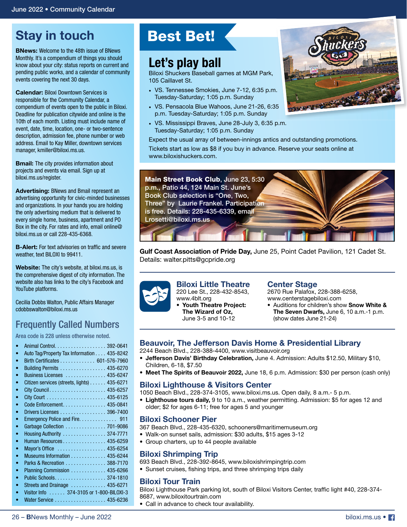## **Stay in touch**

**BNews:** Welcome to the 48th issue of BNews Monthly. It's a compendium of things you should know about your city: status reports on current and pending public works, and a calendar of community events covering the next 30 days.

**Calendar:** Biloxi Downtown Services is responsible for the Community Calendar, a compendium of events open to the public in Biloxi. Deadline for publication citywide and online is the 10th of each month. Listing must include name of event, date, time, location, one- or two-sentence description, admission fee, phone number or web address. Email to Kay Miller, downtown services manager, kmiller@biloxi.ms.us.

**Bmail:** The city provides information about projects and events via email. Sign up at biloxi.ms.us/register.

**Advertising:** BNews and Bmail represent an advertising opportunity for civic-minded businesses and organizations. In your hands you are holding the only advertising medium that is delivered to every single home, business, apartment and PO Box in the city. For rates and info, email online@ biloxi.ms.us or call 228-435-6368.

**B-Alert:** For text advisories on traffic and severe weather, text BILOXI to 99411.

**Website:** The city's website, at biloxi.ms.us, is the comprehensive digest of city information. The website also has links to the city's Facebook and YouTube platforms.

Cecilia Dobbs Walton, Public Affairs Manager cdobbswalton@biloxi.ms.us

### Frequently Called Numbers

Area code is 228 unless otherwise noted.

|           | Animal Control. 392-0641                    |
|-----------|---------------------------------------------|
|           | Auto Tag/Property Tax Information 435-8242  |
| ۰         | Birth Certificates 601-576-7960             |
|           | Building Permits  435-6270                  |
| ۰         | Business Licenses  435-6247                 |
| ۰         | Citizen services (streets, lights) 435-6271 |
| $\bullet$ |                                             |
| ۰         |                                             |
| ۰         | Code Enforcement. 435-0841                  |
| ۰         | Drivers Licenses 396-7400                   |
| ۰         |                                             |
| ۰         | Garbage Collection  701-9086                |
| ۰         | Housing Authority  374-7771                 |
| ۰         | Human Resources 435-6259                    |
| ۰         | Mayor's Office  435-6254                    |
| $\bullet$ | Museums Information 435-6244                |
| $\bullet$ | Parks & Recreation 388-7170                 |
| $\bullet$ | Planning Commission  435-6266               |
| $\bullet$ | Public Schools. 374-1810                    |
| $\bullet$ | Streets and Drainage  435-6271              |
|           | Visitor Info 374-3105 or 1-800-BILOXI-3     |
|           | Water Service 435-6236                      |

#### 26 – **B**News Monthly – June 2022

## Best Bet!

## **Let's play ball**

www.biloxishuckers.com.

Biloxi Shuckers Baseball games at MGM Park, 105 Caillavet St.

- VS. Tennessee Smokies, June 7-12, 6:35 p.m. Tuesday-Saturday; 1:05 p.m. Sunday
- VS. Pensacola Blue Wahoos, June 21-26, 6:35 p.m. Tuesday-Saturday; 1:05 p.m. Sunday
- VS. Mississippi Braves, June 28-July 3, 6:35 p.m. Tuesday-Saturday; 1:05 p.m. Sunday





**Gulf Coast Association of Pride Day,** June 25, Point Cadet Pavilion, 121 Cadet St. Details: walter.pitts@gcpride.org



**Biloxi Little Theatre** 220 Lee St., 228-432-8543, www.4blt.org **• Youth Theatre Project: The Wizard of Oz,**  June 3-5 and 10-12

#### **Center Stage**

2670 Rue Palafox, 228-388-6258, www.centerstagebiloxi.com

• Auditions for children's show **Snow White & The Seven Dwarfs,** June 6, 10 a.m.-1 p.m. (show dates June 21-24)

#### **Beauvoir, The Jefferson Davis Home & Presidential Library**

- 2244 Beach Blvd., 228-388-4400, www.visitbeauvoir.org
- **Jefferson Davis' Birthday Celebration,** June 4. Admission: Adults \$12.50, Military \$10, Children, 6-18, \$7.50
- **Meet The Spirits of Beauvoir 2022,** June 18, 6 p.m. Admission: \$30 per person (cash only)

#### **Biloxi Lighthouse & Visitors Center**

- 1050 Beach Blvd., 228-374-3105, www.biloxi.ms.us. Open daily, 8 a.m.- 5 p.m.
- **Lighthouse tours daily,** 9 to 10 a.m., weather permitting. Admission: \$5 for ages 12 and older; \$2 for ages 6-11; free for ages 5 and younger

#### **Biloxi Schooner Pier**

367 Beach Blvd., 228-435-6320, schooners@maritimemuseum.org

- Walk-on sunset sails, admission: \$30 adults, \$15 ages 3-12
- Group charters, up to 44 people available

#### **Biloxi Shrimping Trip**

693 Beach Blvd., 228-392-8645, www.biloxishrimpingtrip.com

• Sunset cruises, fishing trips, and three shrimping trips daily

#### **Biloxi Tour Train**

Biloxi Lighthouse Park parking lot, south of Biloxi Visitors Center, traffic light #40, 228-374-8687, www.biloxitourtrain.com

• Call in advance to check tour availability.

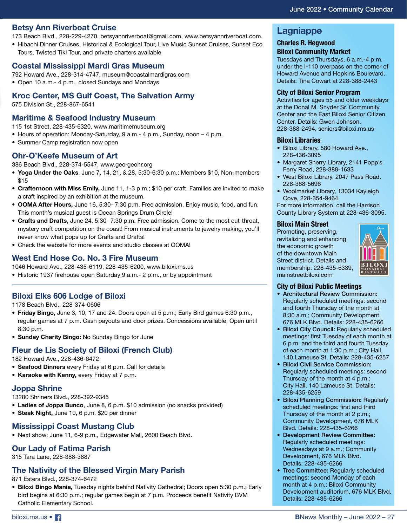#### **Betsy Ann Riverboat Cruise**

173 Beach Blvd., 228-229-4270, betsyannriverboat@gmail.com, www.betsyannriverboat.com.

• Hibachi Dinner Cruises, Historical & Ecological Tour, Live Music Sunset Cruises, Sunset Eco Tours, Twisted Tiki Tour, and private charters available

#### **Coastal Mississippi Mardi Gras Museum**

- 792 Howard Ave., 228-314-4747, museum@coastalmardigras.com
- Open 10 a.m.- 4 p.m., closed Sundays and Mondays

#### **Kroc Center, MS Gulf Coast, The Salvation Army**

575 Division St., 228-867-6541

#### **Maritime & Seafood Industry Museum**

115 1st Street, 228-435-6320, www.maritimemuseum.org

- Hours of operation: Monday-Saturday, 9 a.m.- 4 p.m., Sunday, noon 4 p.m.
- Summer Camp registration now open

#### **Ohr-O'Keefe Museum of Art**

386 Beach Blvd., 228-374-5547, www.georgeohr.org

- **Yoga Under the Oaks**, June 7, 14, 21, & 28, 5:30-6:30 p.m.; Members \$10, Non-members \$15
- **Crafternoon with Miss Emily,** June 11, 1-3 p.m.; \$10 per craft. Families are invited to make a craft inspired by an exhibition at the museum.
- **OOMA After Hours,** June 16, 5:30- 7:30 p.m. Free admission. Enjoy music, food, and fun. This month's musical guest is Ocean Springs Drum Circle!
- **Crafts and Drafts,** June 24, 5:30- 7:30 p.m. Free admission. Come to the most cut-throat, mystery craft competition on the coast! From musical instruments to jewelry making, you'll never know what pops up for Crafts and Drafts!
- Check the website for more events and studio classes at OOMA!

#### **West End Hose Co. No. 3 Fire Museum**

1046 Howard Ave., 228-435-6119, 228-435-6200, www.biloxi.ms.us

• Historic 1937 firehouse open Saturday 9 a.m.- 2 p.m., or by appointment

#### **Biloxi Elks 606 Lodge of Biloxi**

1178 Beach Blvd., 228-374-0606

- **Friday Bingo,** June 3, 10, 17 and 24. Doors open at 5 p.m.; Early Bird games 6:30 p.m., regular games at 7 p.m. Cash payouts and door prizes. Concessions available; Open until 8:30 p.m.
- **Sunday Charity Bingo:** No Sunday Bingo for June

#### **Fleur de Lis Society of Biloxi (French Club)**

182 Howard Ave., 228-436-6472

- **Seafood Dinners** every Friday at 6 p.m. Call for details
- **Karaoke with Kenny,** every Friday at 7 p.m.

#### **Joppa Shrine**

13280 Shriners Blvd., 228-392-9345

- **Ladies of Joppa Bunco**, June 8, 6 p.m. \$10 admission (no snacks provided)
- **Steak Night,** June 10, 6 p.m. \$20 per dinner

#### **Mississippi Coast Mustang Club**

• Next show: June 11, 6-9 p.m., Edgewater Mall, 2600 Beach Blvd.

#### **Our Lady of Fatima Parish**

315 Tara Lane, 228-388-3887

#### **The Nativity of the Blessed Virgin Mary Parish**

871 Esters Blvd., 228-374-6472

**• Biloxi Bingo Mania,** Tuesday nights behind Nativity Cathedral; Doors open 5:30 p.m.; Early bird begins at 6:30 p.m.; regular games begin at 7 p.m. Proceeds benefit Nativity BVM Catholic Elementary School.

#### **Lagniappe**

#### **Charles R. Hegwood**

**Biloxi Community Market** Tuesdays and Thursdays, 6 a.m.-4 p.m.

under the I-110 overpass on the corner of Howard Avenue and Hopkins Boulevard. Details: Tina Cowart at 228-388-2443

#### **City of Biloxi Senior Program**

Activities for ages 55 and older weekdays at the Donal M. Snyder Sr. Community Center and the East Biloxi Senior Citizen Center. Details: Gwen Johnson, 228-388-2494, seniors@biloxi.ms.us

#### **Biloxi Libraries**

- Biloxi Library, 580 Howard Ave., 228-436-3095
- Margaret Sherry Library, 2141 Popp's Ferry Road, 228-388-1633
- West Biloxi Library, 2047 Pass Road, 228-388-5696
- Woolmarket Library, 13034 Kayleigh Cove, 228-354-9464

For more information, call the Harrison County Library System at 228-436-3095.

#### **Biloxi Main Street**

Promoting, preserving, revitalizing and enhancing the economic growth of the downtown Main Street district. Details and membership: 228-435-6339, mainstreetbiloxi.com



#### **City of Biloxi Public Meetings**

- Architectural Review Commission: Regularly scheduled meetings: second and fourth Thursday of the month at 8:30 a.m.; Community Development, 676 MLK Blvd. Details: 228-435-6266
- Biloxi City Council: Regularly scheduled meetings: first Tuesday of each month at 6 p.m. and the third and fourth Tuesday of each month at 1:30 p.m.; City Hall, 140 Lameuse St. Details: 228-435-6257
- Biloxi Civil Service Commission: Regularly scheduled meetings: second Thursday of the month at 4 p.m.; City Hall, 140 Lameuse St. Details: 228-435-6259
- Biloxi Planning Commission: Regularly scheduled meetings: first and third Thursday of the month at 2 p.m.; Community Development, 676 MLK Blvd. Details: 228-435-6266
- Development Review Committee: Regularly scheduled meetings: Wednesdays at 9 a.m.; Community Development, 676 MLK Blvd. Details: 228-435-6266
- Tree Committee: Regularly scheduled meetings: second Monday of each month at 4 p.m.; Biloxi Community Development auditorium, 676 MLK Blvd. Details: 228-435-6266